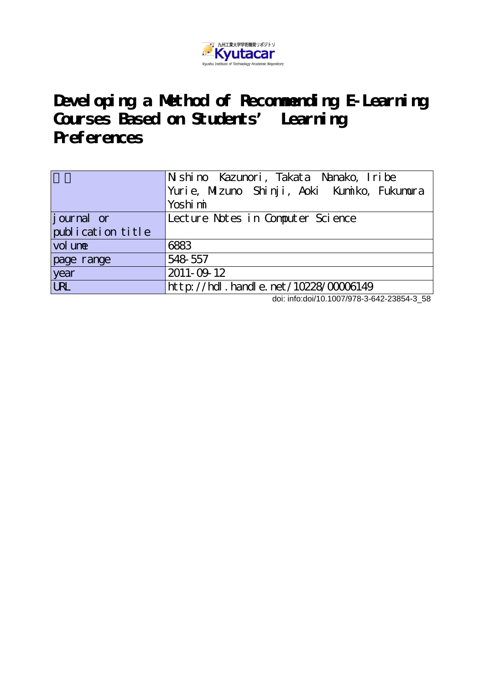

**Developing a Method of Recommending E-Learning Courses Based on Students' Learning Preferences**

|                   | Nishino Kazunori, Takata Nanako, Iribe      |
|-------------------|---------------------------------------------|
|                   | Yurie, Mizuno Shinji, Aoki Kumiko, Fukumura |
|                   | Yoshi mi                                    |
| journal or        | Lecture Notes in Computer Science           |
| publication title |                                             |
| vol une           | 6883                                        |
| page range        | 548 557                                     |
| year              | 2011-09-12                                  |
| <b>URL</b>        | http://hdl.handle.net/10228/00006149        |

doi: info:doi/10.1007/978-3-642-23854-3\_58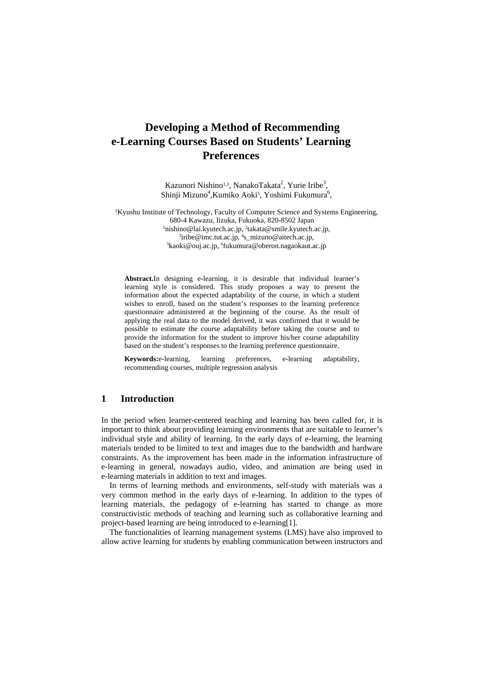# **Developing a Method of Recommending e-Learning Courses Based on Students' Learning Preferences**

Kazunori Nishino<sup>1,1</sup>, NanakoTakata<sup>2</sup>, Yurie Iribe<sup>3</sup>, Shinji Mizuno<sup>4</sup>, Kumiko Aoki<sup>5</sup>, Yoshimi Fukumura<sup>6</sup>,

<sup>1</sup>Kyushu Institute of Technology, Faculty of Computer Science and Systems Engineering, 680-4 Kawazu, Iizuka, Fukuoka, 820-8502 Japan 1 nishino@lai.kyutech.ac.jp, <sup>2</sup>takata@smile.kyutech.ac.jp, <sup>3</sup>iribe@imc.tut ac.jn <sup>4</sup>s. mizuno@aitech ac.jn <sup>3</sup>iribe@imc.tut.ac.jp, <sup>4</sup>s\_mizuno@aitech.ac.jp, <sup>5</sup>kaoki@oui.ac.jp, <sup>5</sup>kaoki@oui.ac kaoki@ouj.ac.jp, 6 fukumura@oberon.nagaokaut.ac.jp

**Abstract.**In designing e-learning, it is desirable that individual learner's learning style is considered. This study proposes a way to present the information about the expected adaptability of the course, in which a student wishes to enroll, based on the student's responses to the learning preference questionnaire administered at the beginning of the course. As the result of applying the real data to the model derived, it was confirmed that it would be possible to estimate the course adaptability before taking the course and to provide the information for the student to improve his/her course adaptability based on the student's responses to the learning preference questionnaire.

**Keywords:**e-learning, learning preferences, e-learning adaptability, recommending courses, multiple regression analysis

#### **1 Introduction**

In the period when learner-centered teaching and learning has been called for, it is important to think about providing learning environments that are suitable to learner's individual style and ability of learning. In the early days of e-learning, the learning materials tended to be limited to text and images due to the bandwidth and hardware constraints. As the improvement has been made in the information infrastructure of e-learning in general, nowadays audio, video, and animation are being used in e-learning materials in addition to text and images.

In terms of learning methods and environments, self-study with materials was a very common method in the early days of e-learning. In addition to the types of learning materials, the pedagogy of e-learning has started to change as more constructivistic methods of teaching and learning such as collaborative learning and project-based learning are being introduced to e-learning[1].

The functionalities of learning management systems (LMS) have also improved to allow active learning for students by enabling communication between instructors and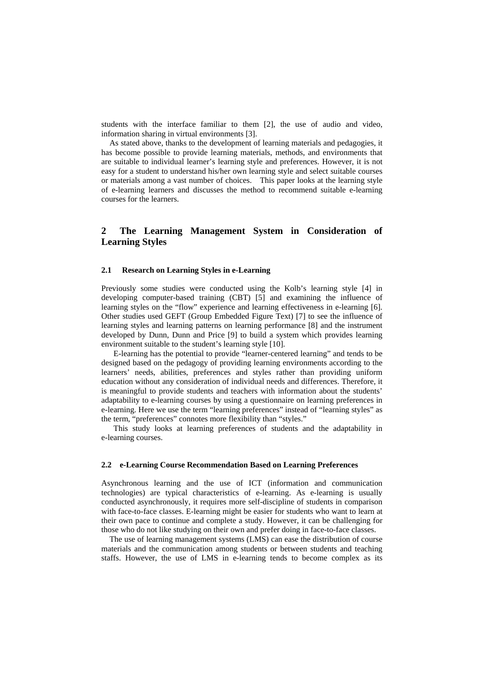students with the interface familiar to them [2], the use of audio and video, information sharing in virtual environments [3].

As stated above, thanks to the development of learning materials and pedagogies, it has become possible to provide learning materials, methods, and environments that are suitable to individual learner's learning style and preferences. However, it is not easy for a student to understand his/her own learning style and select suitable courses or materials among a vast number of choices. This paper looks at the learning style of e-learning learners and discusses the method to recommend suitable e-learning courses for the learners.

# **2 The Learning Management System in Consideration of Learning Styles**

#### **2.1 Research on Learning Styles in e-Learning**

Previously some studies were conducted using the Kolb's learning style [4] in developing computer-based training (CBT) [5] and examining the influence of learning styles on the "flow" experience and learning effectiveness in e-learning [6]. Other studies used GEFT (Group Embedded Figure Text) [7] to see the influence of learning styles and learning patterns on learning performance [8] and the instrument developed by Dunn, Dunn and Price [9] to build a system which provides learning environment suitable to the student's learning style [10].

E-learning has the potential to provide "learner-centered learning" and tends to be designed based on the pedagogy of providing learning environments according to the learners' needs, abilities, preferences and styles rather than providing uniform education without any consideration of individual needs and differences. Therefore, it is meaningful to provide students and teachers with information about the students' adaptability to e-learning courses by using a questionnaire on learning preferences in e-learning. Here we use the term "learning preferences" instead of "learning styles" as the term, "preferences" connotes more flexibility than "styles."

This study looks at learning preferences of students and the adaptability in e-learning courses.

#### **2.2 e-Learning Course Recommendation Based on Learning Preferences**

Asynchronous learning and the use of ICT (information and communication technologies) are typical characteristics of e-learning. As e-learning is usually conducted asynchronously, it requires more self-discipline of students in comparison with face-to-face classes. E-learning might be easier for students who want to learn at their own pace to continue and complete a study. However, it can be challenging for those who do not like studying on their own and prefer doing in face-to-face classes.

The use of learning management systems (LMS) can ease the distribution of course materials and the communication among students or between students and teaching staffs. However, the use of LMS in e-learning tends to become complex as its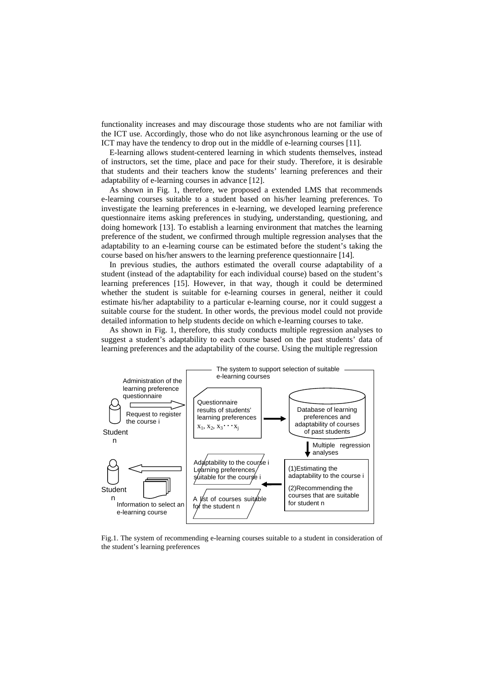functionality increases and may discourage those students who are not familiar with the ICT use. Accordingly, those who do not like asynchronous learning or the use of ICT may have the tendency to drop out in the middle of e-learning courses [11].

E-learning allows student-centered learning in which students themselves, instead of instructors, set the time, place and pace for their study. Therefore, it is desirable that students and their teachers know the students' learning preferences and their adaptability of e-learning courses in advance [12].

As shown in Fig. 1, therefore, we proposed a extended LMS that recommends e-learning courses suitable to a student based on his/her learning preferences. To investigate the learning preferences in e-learning, we developed learning preference questionnaire items asking preferences in studying, understanding, questioning, and doing homework [13]. To establish a learning environment that matches the learning preference of the student, we confirmed through multiple regression analyses that the adaptability to an e-learning course can be estimated before the student's taking the course based on his/her answers to the learning preference questionnaire [14].

In previous studies, the authors estimated the overall course adaptability of a student (instead of the adaptability for each individual course) based on the student's learning preferences [15]. However, in that way, though it could be determined whether the student is suitable for e-learning courses in general, neither it could estimate his/her adaptability to a particular e-learning course, nor it could suggest a suitable course for the student. In other words, the previous model could not provide detailed information to help students decide on which e-learning courses to take.

As shown in Fig. 1, therefore, this study conducts multiple regression analyses to suggest a student's adaptability to each course based on the past students' data of learning preferences and the adaptability of the course. Using the multiple regression



Fig.1. The system of recommending e-learning courses suitable to a student in consideration of the student's learning preferences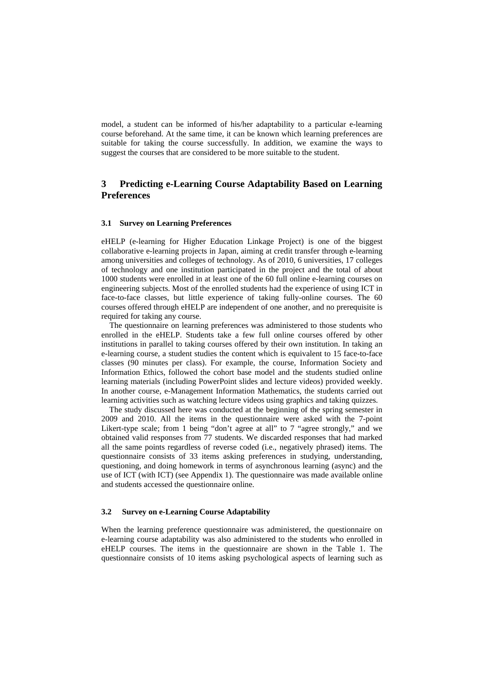model, a student can be informed of his/her adaptability to a particular e-learning course beforehand. At the same time, it can be known which learning preferences are suitable for taking the course successfully. In addition, we examine the ways to suggest the courses that are considered to be more suitable to the student.

### **3 Predicting e-Learning Course Adaptability Based on Learning Preferences**

#### **3.1 Survey on Learning Preferences**

eHELP (e-learning for Higher Education Linkage Project) is one of the biggest collaborative e-learning projects in Japan, aiming at credit transfer through e-learning among universities and colleges of technology. As of 2010, 6 universities, 17 colleges of technology and one institution participated in the project and the total of about 1000 students were enrolled in at least one of the 60 full online e-learning courses on engineering subjects. Most of the enrolled students had the experience of using ICT in face-to-face classes, but little experience of taking fully-online courses. The 60 courses offered through eHELP are independent of one another, and no prerequisite is required for taking any course.

The questionnaire on learning preferences was administered to those students who enrolled in the eHELP. Students take a few full online courses offered by other institutions in parallel to taking courses offered by their own institution. In taking an e-learning course, a student studies the content which is equivalent to 15 face-to-face classes (90 minutes per class). For example, the course, Information Society and Information Ethics, followed the cohort base model and the students studied online learning materials (including PowerPoint slides and lecture videos) provided weekly. In another course, e-Management Information Mathematics, the students carried out learning activities such as watching lecture videos using graphics and taking quizzes.

The study discussed here was conducted at the beginning of the spring semester in 2009 and 2010. All the items in the questionnaire were asked with the 7-point Likert-type scale; from 1 being "don't agree at all" to 7 "agree strongly," and we obtained valid responses from 77 students. We discarded responses that had marked all the same points regardless of reverse coded (i.e., negatively phrased) items. The questionnaire consists of 33 items asking preferences in studying, understanding, questioning, and doing homework in terms of asynchronous learning (async) and the use of ICT (with ICT) (see Appendix 1). The questionnaire was made available online and students accessed the questionnaire online.

#### **3.2 Survey on e-Learning Course Adaptability**

When the learning preference questionnaire was administered, the questionnaire on e-learning course adaptability was also administered to the students who enrolled in eHELP courses. The items in the questionnaire are shown in the Table 1. The questionnaire consists of 10 items asking psychological aspects of learning such as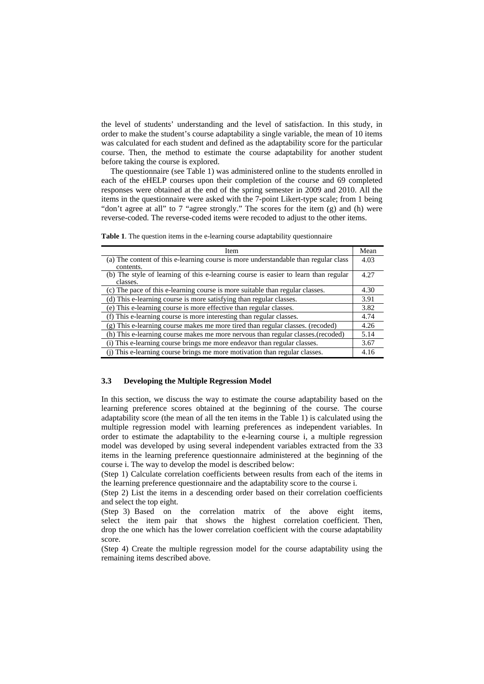the level of students' understanding and the level of satisfaction. In this study, in order to make the student's course adaptability a single variable, the mean of 10 items was calculated for each student and defined as the adaptability score for the particular course. Then, the method to estimate the course adaptability for another student before taking the course is explored.

The questionnaire (see Table 1) was administered online to the students enrolled in each of the eHELP courses upon their completion of the course and 69 completed responses were obtained at the end of the spring semester in 2009 and 2010. All the items in the questionnaire were asked with the 7-point Likert-type scale; from 1 being "don't agree at all" to 7 "agree strongly." The scores for the item (g) and (h) were reverse-coded. The reverse-coded items were recoded to adjust to the other items.

**Table 1**. The question items in the e-learning course adaptability questionnaire

| Item                                                                                             | Mean |  |  |
|--------------------------------------------------------------------------------------------------|------|--|--|
| (a) The content of this e-learning course is more understandable than regular class<br>contents. | 4.03 |  |  |
| (b) The style of learning of this e-learning course is easier to learn than regular<br>classes.  |      |  |  |
| (c) The pace of this e-learning course is more suitable than regular classes.                    | 4.30 |  |  |
| (d) This e-learning course is more satisfying than regular classes.                              |      |  |  |
| (e) This e-learning course is more effective than regular classes.                               |      |  |  |
| (f) This e-learning course is more interesting than regular classes.                             |      |  |  |
| (g) This e-learning course makes me more tired than regular classes. (recoded)                   |      |  |  |
| (h) This e-learning course makes me more nervous than regular classes. (recoded)                 | 5.14 |  |  |
| (i) This e-learning course brings me more endeavor than regular classes.                         |      |  |  |
| (i) This e-learning course brings me more motivation than regular classes.                       |      |  |  |

#### **3.3 Developing the Multiple Regression Model**

In this section, we discuss the way to estimate the course adaptability based on the learning preference scores obtained at the beginning of the course. The course adaptability score (the mean of all the ten items in the Table 1) is calculated using the multiple regression model with learning preferences as independent variables. In order to estimate the adaptability to the e-learning course i, a multiple regression model was developed by using several independent variables extracted from the 33 items in the learning preference questionnaire administered at the beginning of the course i. The way to develop the model is described below:

(Step 1) Calculate correlation coefficients between results from each of the items in the learning preference questionnaire and the adaptability score to the course i.

(Step 2) List the items in a descending order based on their correlation coefficients and select the top eight.

(Step 3) Based on the correlation matrix of the above eight items, select the item pair that shows the highest correlation coefficient. Then, drop the one which has the lower correlation coefficient with the course adaptability score.

(Step 4) Create the multiple regression model for the course adaptability using the remaining items described above.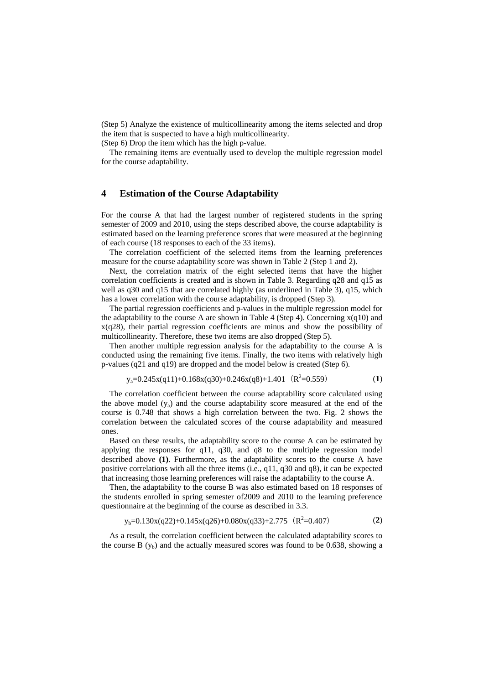(Step 5) Analyze the existence of multicollinearity among the items selected and drop the item that is suspected to have a high multicollinearity.

(Step 6) Drop the item which has the high p-value.

The remaining items are eventually used to develop the multiple regression model for the course adaptability.

#### **4 Estimation of the Course Adaptability**

For the course A that had the largest number of registered students in the spring semester of 2009 and 2010, using the steps described above, the course adaptability is estimated based on the learning preference scores that were measured at the beginning of each course (18 responses to each of the 33 items).

The correlation coefficient of the selected items from the learning preferences measure for the course adaptability score was shown in Table 2 (Step 1 and 2).

Next, the correlation matrix of the eight selected items that have the higher correlation coefficients is created and is shown in Table 3. Regarding q28 and q15 as well as  $a30$  and  $a15$  that are correlated highly (as underlined in Table 3),  $q15$ , which has a lower correlation with the course adaptability, is dropped (Step 3).

The partial regression coefficients and p-values in the multiple regression model for the adaptability to the course A are shown in Table 4 (Step 4). Concerning  $x(q10)$  and x(q28), their partial regression coefficients are minus and show the possibility of multicollinearity. Therefore, these two items are also dropped (Step 5).

Then another multiple regression analysis for the adaptability to the course A is conducted using the remaining five items. Finally, the two items with relatively high p-values (q21 and q19) are dropped and the model below is created (Step 6).

$$
y_a=0.245x(q11)+0.168x(q30)+0.246x(q8)+1.401 (R^2=0.559)
$$
 (1)

The correlation coefficient between the course adaptability score calculated using the above model  $(y_a)$  and the course adaptability score measured at the end of the course is 0.748 that shows a high correlation between the two. Fig. 2 shows the correlation between the calculated scores of the course adaptability and measured ones.

Based on these results, the adaptability score to the course A can be estimated by applying the responses for q11, q30, and q8 to the multiple regression model described above **(1)**. Furthermore, as the adaptability scores to the course A have positive correlations with all the three items (i.e., q11, q30 and q8), it can be expected that increasing those learning preferences will raise the adaptability to the course A.

Then, the adaptability to the course B was also estimated based on 18 responses of the students enrolled in spring semester of2009 and 2010 to the learning preference questionnaire at the beginning of the course as described in 3.3.

$$
y_b=0.130x(q22)+0.145x(q26)+0.080x(q33)+2.775 (R^2=0.407)
$$
 (2)

As a result, the correlation coefficient between the calculated adaptability scores to the course B  $(y_b)$  and the actually measured scores was found to be 0.638, showing a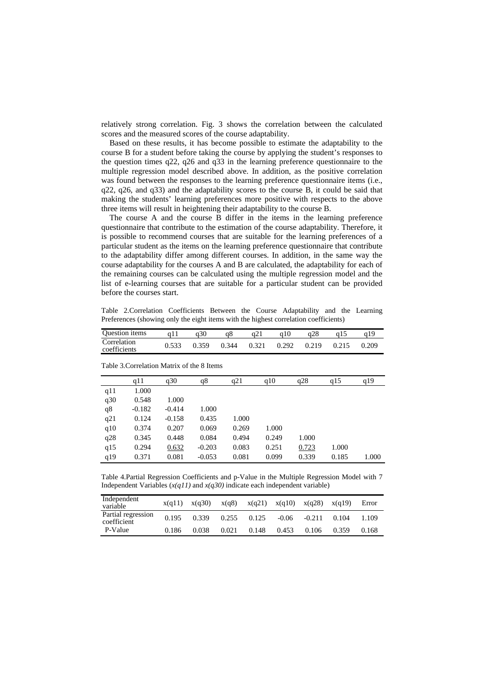relatively strong correlation. Fig. 3 shows the correlation between the calculated scores and the measured scores of the course adaptability.

Based on these results, it has become possible to estimate the adaptability to the course B for a student before taking the course by applying the student's responses to the question times q22, q26 and q33 in the learning preference questionnaire to the multiple regression model described above. In addition, as the positive correlation was found between the responses to the learning preference questionnaire items (i.e., q22, q26, and q33) and the adaptability scores to the course B, it could be said that making the students' learning preferences more positive with respects to the above three items will result in heightening their adaptability to the course B.

The course A and the course B differ in the items in the learning preference questionnaire that contribute to the estimation of the course adaptability. Therefore, it is possible to recommend courses that are suitable for the learning preferences of a particular student as the items on the learning preference questionnaire that contribute to the adaptability differ among different courses. In addition, in the same way the course adaptability for the courses A and B are calculated, the adaptability for each of the remaining courses can be calculated using the multiple regression model and the list of e-learning courses that are suitable for a particular student can be provided before the courses start.

Table 2.Correlation Coefficients Between the Course Adaptability and the Learning Preferences (showing only the eight items with the highest correlation coefficients)

| Question items              |       | a30   | a8    | a21   | a28             |       |       |
|-----------------------------|-------|-------|-------|-------|-----------------|-------|-------|
| Correlation<br>coefficients | 0.533 | 0.359 | 0.344 | 0.321 | $0.292$ $0.219$ | 0.215 | 0.209 |

|     | q11      | q30      | q8       | q21   | q10   | q28   | q15   | q19   |
|-----|----------|----------|----------|-------|-------|-------|-------|-------|
| q11 | 1.000    |          |          |       |       |       |       |       |
| q30 | 0.548    | 1.000    |          |       |       |       |       |       |
| q8  | $-0.182$ | $-0.414$ | 1.000    |       |       |       |       |       |
| q21 | 0.124    | $-0.158$ | 0.435    | 1.000 |       |       |       |       |
| q10 | 0.374    | 0.207    | 0.069    | 0.269 | 1.000 |       |       |       |
| q28 | 0.345    | 0.448    | 0.084    | 0.494 | 0.249 | 1.000 |       |       |
| q15 | 0.294    | 0.632    | $-0.203$ | 0.083 | 0.251 | 0.723 | 1.000 |       |
| q19 | 0.371    | 0.081    | $-0.053$ | 0.081 | 0.099 | 0.339 | 0.185 | 1.000 |

Table 3.Correlation Matrix of the 8 Items

Table 4.Partial Regression Coefficients and p-Value in the Multiple Regression Model with 7 Independent Variables  $(x(qI1)$  and  $x(q30)$  indicate each independent variable)

| Independent<br>variable           | x(a11) | x(q30) | x(q8) | x(q21) | x(q10)  | x(q28)   | x(q19) | Error |
|-----------------------------------|--------|--------|-------|--------|---------|----------|--------|-------|
| Partial regression<br>coefficient | 0.195  | 0.339  | 0.255 | 0.125  | $-0.06$ | $-0.211$ | 0.104  | 1.109 |
| P-Value                           | 0.186  | 0.038  | 0.021 | 0.148  | 0.453   | 0.106    | 0.359  | 0.168 |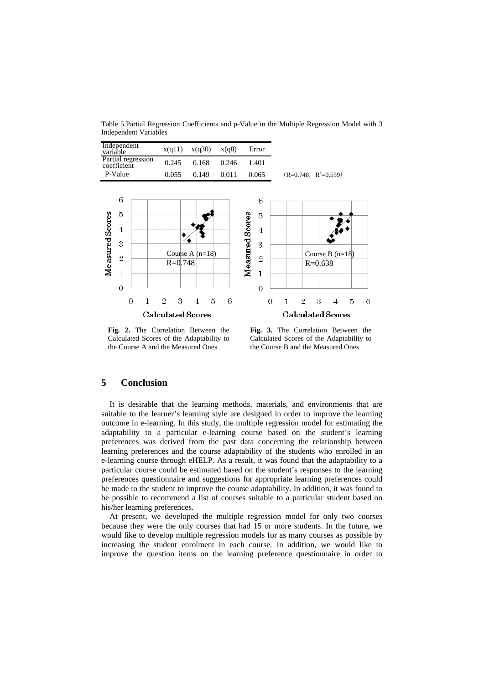Table 5.Partial Regression Coefficients and p-Value in the Multiple Regression Model with 3 Independent Variables



**Fig. 2.** The Correlation Between the Calculated Scores of the Adaptability to the Course A and the Measured Ones

**Fig. 3.** The Correlation Between the Calculated Scores of the Adaptability to the Course B and the Measured Ones

## **5 Conclusion**

It is desirable that the learning methods, materials, and environments that are suitable to the learner's learning style are designed in order to improve the learning outcome in e-learning. In this study, the multiple regression model for estimating the adaptability to a particular e-learning course based on the student's learning preferences was derived from the past data concerning the relationship between learning preferences and the course adaptability of the students who enrolled in an e-learning course through eHELP. As a result, it was found that the adaptability to a particular course could be estimated based on the student's responses to the learning preferences questionnaire and suggestions for appropriate learning preferences could be made to the student to improve the course adaptability. In addition, it was found to be possible to recommend a list of courses suitable to a particular student based on his/her learning preferences.

At present, we developed the multiple regression model for only two courses because they were the only courses that had 15 or more students. In the future, we would like to develop multiple regression models for as many courses as possible by increasing the student enrolment in each course. In addition, we would like to improve the question items on the learning preference questionnaire in order to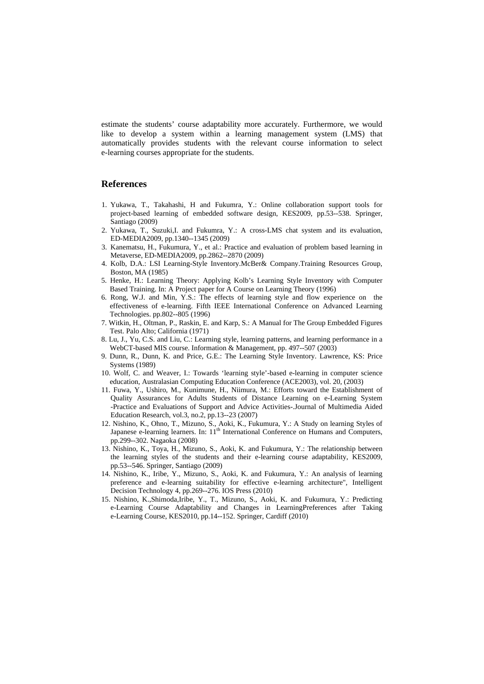estimate the students' course adaptability more accurately. Furthermore, we would like to develop a system within a learning management system (LMS) that automatically provides students with the relevant course information to select e-learning courses appropriate for the students.

#### **References**

- 1. Yukawa, T., Takahashi, H and Fukumra, Y.: Online collaboration support tools for project-based learning of embedded software design, KES2009, pp.53--538. Springer, Santiago (2009)
- 2. Yukawa, T., Suzuki,I. and Fukumra, Y.: A cross-LMS chat system and its evaluation, ED-MEDIA2009, pp.1340--1345 (2009)
- 3. Kanematsu, H., Fukumura, Y., et al.: Practice and evaluation of problem based learning in Metaverse, ED-MEDIA2009, pp.2862--2870 (2009)
- 4. Kolb, D.A.: LSI Learning-Style Inventory.McBer& Company.Training Resources Group, Boston, MA (1985)
- 5. Henke, H.: Learning Theory: Applying Kolb's Learning Style Inventory with Computer Based Training. In: A Project paper for A Course on Learning Theory (1996)
- 6. Rong, W.J. and Min, Y.S.: The effects of learning style and flow experience on the effectiveness of e-learning. Fifth IEEE International Conference on Advanced Learning Technologies. pp.802--805 (1996)
- 7. Witkin, H., Oltman, P., Raskin, E. and Karp, S.: A Manual for The Group Embedded Figures Test. Palo Alto; California (1971)
- 8. Lu, J., Yu, C.S. and Liu, C.: Learning style, learning patterns, and learning performance in a WebCT-based MIS course. Information & Management, pp. 497--507 (2003)
- 9. Dunn, R., Dunn, K. and Price, G.E.: The Learning Style Inventory. Lawrence, KS: Price Systems (1989)
- 10. Wolf, C. and Weaver, I.: Towards 'learning style'-based e-learning in computer science education, Australasian Computing Education Conference (ACE2003), vol. 20, (2003)
- 11. Fuwa, Y., Ushiro, M., Kunimune, H., Niimura, M.: Efforts toward the Establishment of Quality Assurances for Adults Students of Distance Learning on e-Learning System -Practice and Evaluations of Support and Advice Activities-.Journal of Multimedia Aided Education Research, vol.3, no.2, pp.13--23 (2007)
- 12. Nishino, K., Ohno, T., Mizuno, S., Aoki, K., Fukumura, Y.: A Study on learning Styles of Japanese e-learning learners. In: 11<sup>th</sup> International Conference on Humans and Computers, pp.299--302. Nagaoka (2008)
- 13. Nishino, K., Toya, H., Mizuno, S., Aoki, K. and Fukumura, Y.: The relationship between the learning styles of the students and their e-learning course adaptability, KES2009, pp.53--546. Springer, Santiago (2009)
- 14. Nishino, K., Iribe, Y., Mizuno, S., Aoki, K. and Fukumura, Y.: An analysis of learning preference and e-learning suitability for effective e-learning architecture", Intelligent Decision Technology 4, pp.269--276. IOS Press (2010)
- 15. Nishino, K.,Shimoda,Iribe, Y., T., Mizuno, S., Aoki, K. and Fukumura, Y.: Predicting e-Learning Course Adaptability and Changes in LearningPreferences after Taking e-Learning Course, KES2010, pp.14--152. Springer, Cardiff (2010)